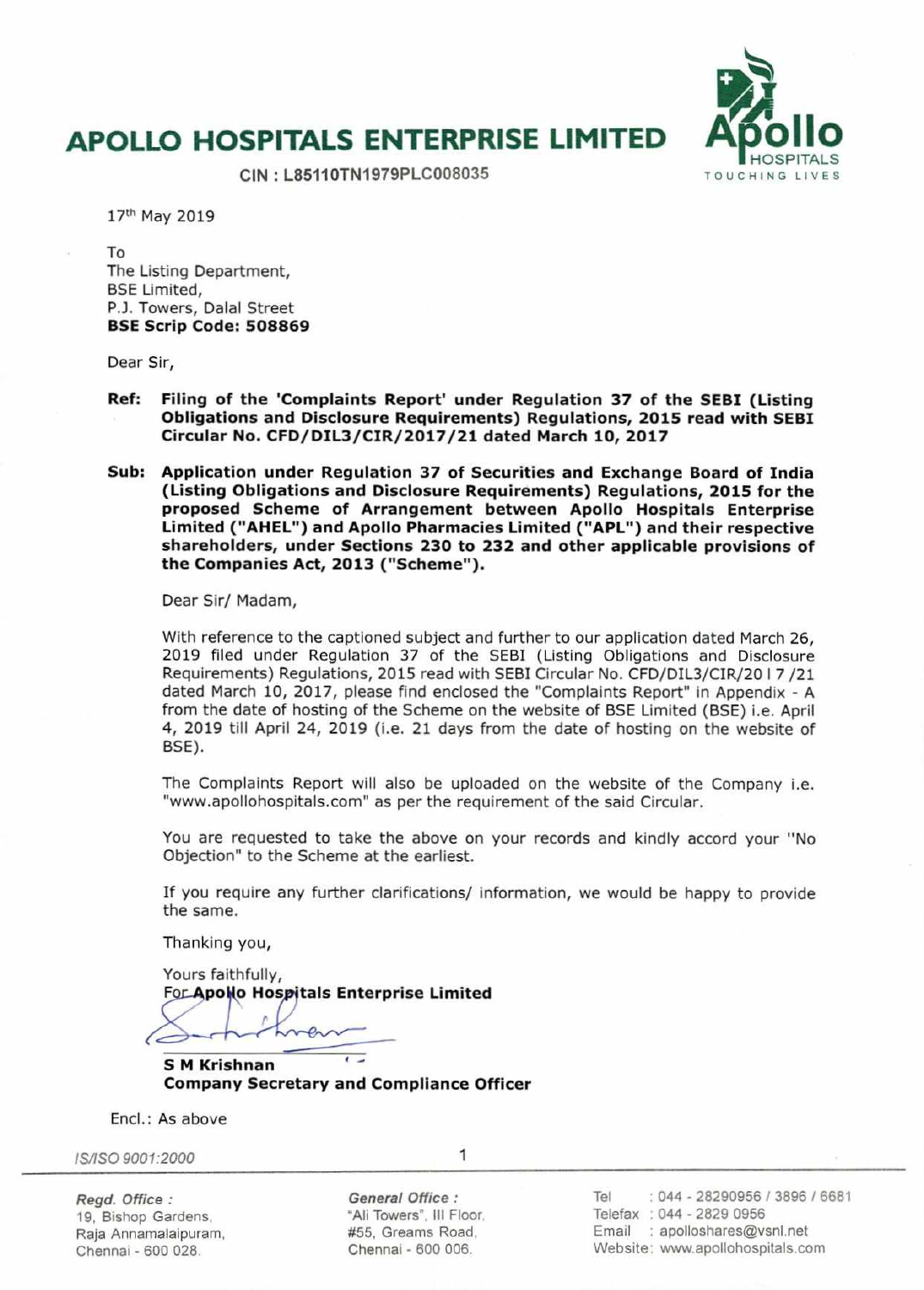## **APOLLO HOSPITALS ENTERPRISE LIMITED**



**CIN** : **L85110TN1979PLC008035** 

17th May 2019

To The Listing Department, BSE Limited, P.J. Towers, Dalal Street **BSE Scrip Code: 508869** 

Dear Sir,

- **Ref: Filing of the 'Complaints Report' under Regulation 37 of the SEBI (Listing Obligations and Disclosure Requirements) Regulations, 2015 read with SEBI Circular No. CFD/DIL3/CIR/2017/21 dated March 10, 2017**
- **Sub: Application under Regulation 37 of Securities and Exchange Board of India (Listing Obligations and Disclosure Requirements) Regulations, 2015 for the proposed Scheme of Arrangement between Apollo Hospitals Enterprise Limited ("AHEL") and Apollo Pharmacies Limited ("APL") and their respective shareholders, under Sections 230 to 232 and other applicable provisions of the Companies Act, 2013 ("Scheme").**

Dear Sir/ Madam,

With reference to the captioned subject and further to our application dated March 26, 2019 filed under Regulation 37 of the SEBI (Listing Obligations and Disclosure Requirements) Regulations, 2015 read with SEBI Circular No. CFD/DIL3/CIR/20 I 7 /21 dated March 10, 2017, please find enclosed the 'Complaints Report" in Appendix - A from the date of hosting of the Scheme on the website of BSE Limited (BSE) i.e. April 4, 2019 till April 24, 2019 **(i.e.** 21 days from the date of hosting on the website of BSE).

The Complaints Report will also be uploaded on the website of the Company i.e. 'www.apollohospitals.com" as per the requirement of the said Circular.

You are requested to take the above on your records and kindly accord your "No Objection" to the Scheme **at** the earliest.

If you require any further clarifications/ information, we would be happy to provide the same.

Thanking you,

Yours faithfully, **For Apollo Hospitals Enterprise Limited** P,

**S M Krishnan Company Secretary and Compliance Officer** 

End.: As above

IS/ISO 9001:2000

1

Regd. Office: **General Office:** Tel 044 - 28290956 I 3896 / 6681 19, Bishop Gardens, The "Ali Towers", III Floor. Telefax : 044 - 2829 0956 Raja Anriamalaipuram, #55, Greams Road, Email : apolloshares@vsnl.net Chennai - 600 028. Chennai - 600 006. Website: www.apollohospitals.com